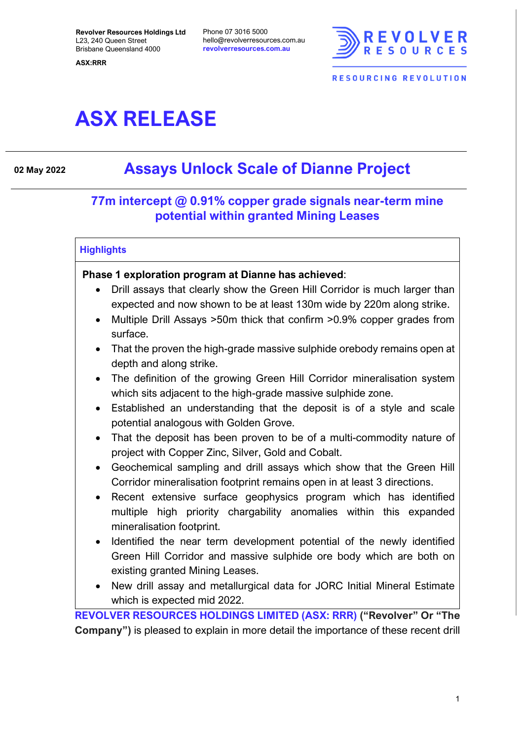**Revolver Resources Holdings Ltd** L23, 240 Queen Street Brisbane Queensland 4000

**ASX:RRR**

Phone 07 3016 5000 hello@revolverresources.com.au **revolverresources.com.au**



# **ASX RELEASE**

# **<sup>02</sup> May <sup>2022</sup> Assays Unlock Scale of Dianne Project**

## **77m intercept @ 0.91% copper grade signals near-term mine potential within granted Mining Leases**

#### **Highlights**

#### **Phase 1 exploration program at Dianne has achieved**:

- Drill assays that clearly show the Green Hill Corridor is much larger than expected and now shown to be at least 130m wide by 220m along strike.
- Multiple Drill Assays >50m thick that confirm >0.9% copper grades from surface.
- That the proven the high-grade massive sulphide orebody remains open at depth and along strike.
- The definition of the growing Green Hill Corridor mineralisation system which sits adjacent to the high-grade massive sulphide zone.
- Established an understanding that the deposit is of a style and scale potential analogous with Golden Grove.
- That the deposit has been proven to be of a multi-commodity nature of project with Copper Zinc, Silver, Gold and Cobalt.
- Geochemical sampling and drill assays which show that the Green Hill Corridor mineralisation footprint remains open in at least 3 directions.
- Recent extensive surface geophysics program which has identified multiple high priority chargability anomalies within this expanded mineralisation footprint.
- Identified the near term development potential of the newly identified Green Hill Corridor and massive sulphide ore body which are both on existing granted Mining Leases.
- New drill assay and metallurgical data for JORC Initial Mineral Estimate which is expected mid 2022.

**REVOLVER RESOURCES HOLDINGS LIMITED (ASX: RRR) ("Revolver" Or "The Company")** is pleased to explain in more detail the importance of these recent drill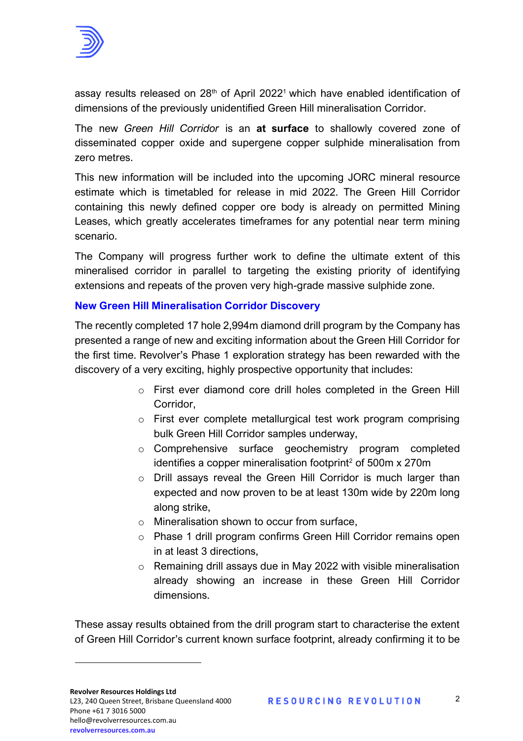

assay results released on  $28<sup>th</sup>$  of April 2022<sup>1</sup> which have enabled identification of dimensions of the previously unidentified Green Hill mineralisation Corridor.

The new *Green Hill Corridor* is an **at surface** to shallowly covered zone of disseminated copper oxide and supergene copper sulphide mineralisation from zero metres.

This new information will be included into the upcoming JORC mineral resource estimate which is timetabled for release in mid 2022. The Green Hill Corridor containing this newly defined copper ore body is already on permitted Mining Leases, which greatly accelerates timeframes for any potential near term mining scenario.

The Company will progress further work to define the ultimate extent of this mineralised corridor in parallel to targeting the existing priority of identifying extensions and repeats of the proven very high-grade massive sulphide zone.

#### **New Green Hill Mineralisation Corridor Discovery**

The recently completed 17 hole 2,994m diamond drill program by the Company has presented a range of new and exciting information about the Green Hill Corridor for the first time. Revolver's Phase 1 exploration strategy has been rewarded with the discovery of a very exciting, highly prospective opportunity that includes:

- o First ever diamond core drill holes completed in the Green Hill Corridor,
- o First ever complete metallurgical test work program comprising bulk Green Hill Corridor samples underway,
- o Comprehensive surface geochemistry program completed identifies a copper mineralisation footprint<sup>2</sup> of  $500m \times 270m$
- o Drill assays reveal the Green Hill Corridor is much larger than expected and now proven to be at least 130m wide by 220m long along strike,
- o Mineralisation shown to occur from surface,
- o Phase 1 drill program confirms Green Hill Corridor remains open in at least 3 directions,
- o Remaining drill assays due in May 2022 with visible mineralisation already showing an increase in these Green Hill Corridor dimensions.

These assay results obtained from the drill program start to characterise the extent of Green Hill Corridor's current known surface footprint, already confirming it to be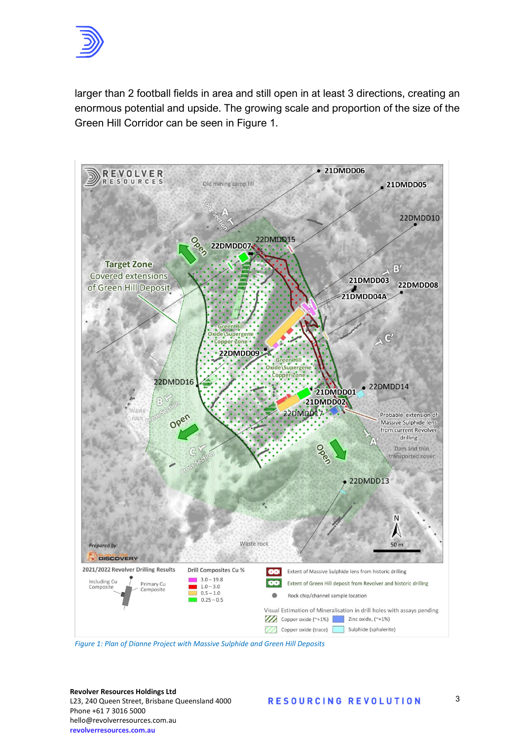

larger than 2 football fields in area and still open in at least 3 directions, creating an enormous potential and upside. The growing scale and proportion of the size of the Green Hill Corridor can be seen in Figure 1.



**Revolver Resources Holdings Ltd** L23, 240 Queen Street, Brisbane Queensland 4000 Phone +61 7 3016 5000 hello@revolverresources.com.au  $revolverresources.com.au$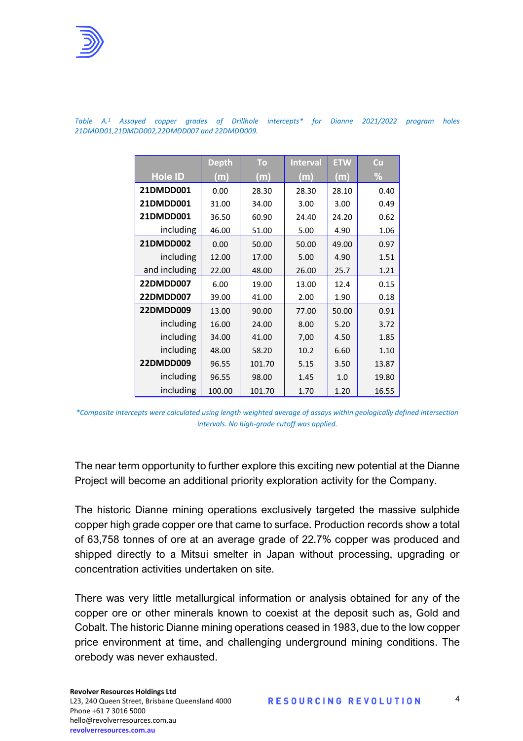

|                | <b>Depth</b> | To     | <b>Interval</b> | <b>ETW</b> | Cu    |
|----------------|--------------|--------|-----------------|------------|-------|
| <b>Hole ID</b> | (m)          | (m)    | (m)             | (m)        | %     |
| 21DMDD001      | 0.00         | 28.30  | 28.30           | 28.10      | 0.40  |
| 21DMDD001      | 31.00        | 34.00  | 3.00            | 3.00       | 0.49  |
| 21DMDD001      | 36.50        | 60.90  | 24.40           | 24.20      | 0.62  |
| including      | 46.00        | 51.00  | 5.00            | 4.90       | 1.06  |
| 21DMDD002      | 0.00         | 50.00  | 50.00           | 49.00      | 0.97  |
| including      | 12.00        | 17.00  | 5.00            | 4.90       | 1.51  |
| and including  | 22.00        | 48.00  | 26.00           | 25.7       | 1.21  |
| 22DMDD007      | 6.00         | 19.00  | 13.00           | 12.4       | 0.15  |
| 22DMDD007      | 39.00        | 41.00  | 2.00            | 1.90       | 0.18  |
| 22DMDD009      | 13.00        | 90.00  | 77.00           | 50.00      | 0.91  |
| including      | 16.00        | 24.00  | 8.00            | 5.20       | 3.72  |
| including      | 34.00        | 41.00  | 7,00            | 4.50       | 1.85  |
| including      | 48.00        | 58.20  | 10.2            | 6.60       | 1.10  |
| 22DMDD009      | 96.55        | 101.70 | 5.15            | 3.50       | 13.87 |
| including      | 96.55        | 98.00  | 1.45            | 1.0        | 19.80 |
| including      | 100.00       | 101.70 | 1.70            | 1.20       | 16.55 |

*Table A. <sup>1</sup> Assayed copper grades of Drillhole intercepts\* for Dianne 2021/2022 program holes 21DMDD01,21DMDD002,22DMDD007 and 22DMDD009.* 

The near term opportunity to further explore this exciting new potential at the Dianne Project will become an additional priority exploration activity for the Company.

The historic Dianne mining operations exclusively targeted the massive sulphide copper high grade copper ore that came to surface. Production records show a total of 63,758 tonnes of ore at an average grade of 22.7% copper was produced and shipped directly to a Mitsui smelter in Japan without processing, upgrading or concentration activities undertaken on site.

There was very little metallurgical information or analysis obtained for any of the copper ore or other minerals known to coexist at the deposit such as, Gold and Cobalt. The historic Dianne mining operations ceased in 1983, due to the low copper price environment at time, and challenging underground mining conditions. The orebody was never exhausted.

4

*<sup>\*</sup>Composite intercepts were calculated using length weighted average of assays within geologically defined intersection intervals. No high-grade cutoff was applied.*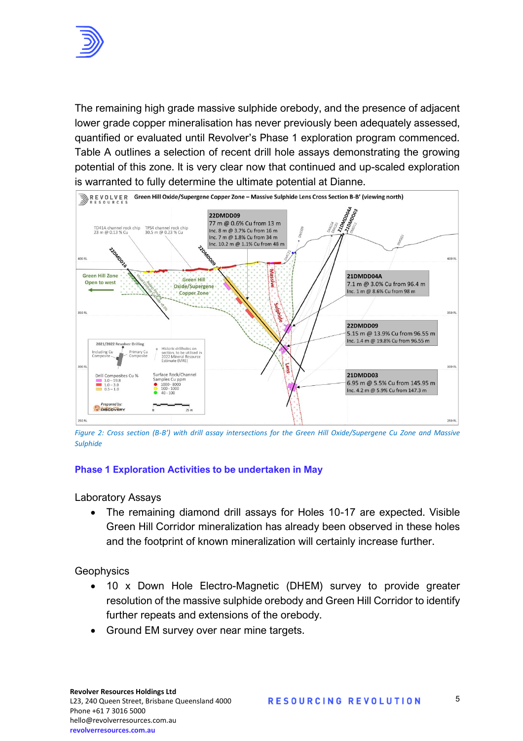

The remaining high grade massive sulphide orebody, and the presence of adjacent lower grade copper mineralisation has never previously been adequately assessed, quantified or evaluated until Revolver's Phase 1 exploration program commenced. Table A outlines a selection of recent drill hole assays demonstrating the growing potential of this zone. It is very clear now that continued and up-scaled exploration is warranted to fully determine the ultimate potential at Dianne.



*Figure 2: Cross section (B-B') with drill assay intersections for the Green Hill Oxide/Supergene Cu Zone and Massive Sulphide*

#### **Phase 1 Exploration Activities to be undertaken in May**

Laboratory Assays

• The remaining diamond drill assays for Holes 10-17 are expected. Visible Green Hill Corridor mineralization has already been observed in these holes and the footprint of known mineralization will certainly increase further.

**Geophysics** 

- 10 x Down Hole Electro-Magnetic (DHEM) survey to provide greater resolution of the massive sulphide orebody and Green Hill Corridor to identify further repeats and extensions of the orebody.<br>• Ground EM survey over near resolution of the massive sulphide orebody and Green Hill Corridor to identify further repeats and extensions of the orebody.
	-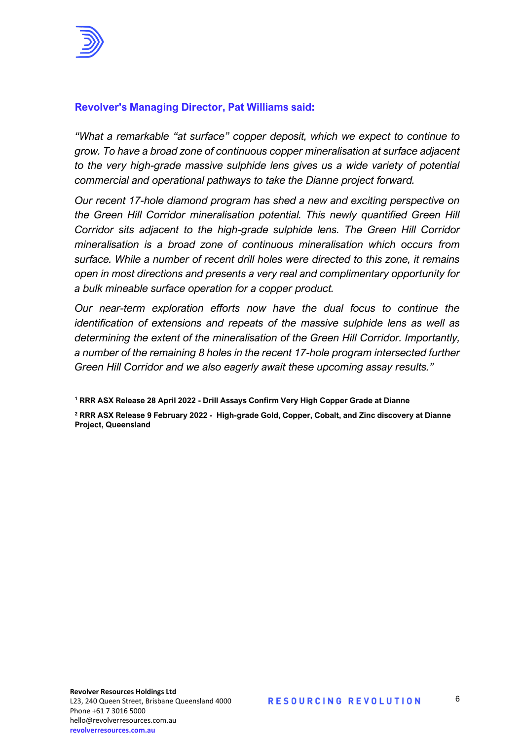

### **Revolver's Managing Director, Pat Williams said:**

*"What a remarkable "at surface" copper deposit, which we expect to continue to grow. To have a broad zone of continuous copper mineralisation at surface adjacent to the very high-grade massive sulphide lens gives us a wide variety of potential commercial and operational pathways to take the Dianne project forward.*

*Our recent 17-hole diamond program has shed a new and exciting perspective on the Green Hill Corridor mineralisation potential. This newly quantified Green Hill Corridor sits adjacent to the high-grade sulphide lens. The Green Hill Corridor mineralisation is a broad zone of continuous mineralisation which occurs from surface. While a number of recent drill holes were directed to this zone, it remains open in most directions and presents a very real and complimentary opportunity for a bulk mineable surface operation for a copper product.* 

*Our near-term exploration efforts now have the dual focus to continue the identification of extensions and repeats of the massive sulphide lens as well as determining the extent of the mineralisation of the Green Hill Corridor. Importantly, a number of the remaining 8 holes in the recent 17-hole program intersected further Green Hill Corridor and we also eagerly await these upcoming assay results."* 

**<sup>1</sup> RRR ASX Release 28 April 2022 - Drill Assays Confirm Very High Copper Grade at Dianne**

**<sup>2</sup> RRR ASX Release 9 February 2022 - High-grade Gold, Copper, Cobalt, and Zinc discovery at Dianne Project, Queensland**